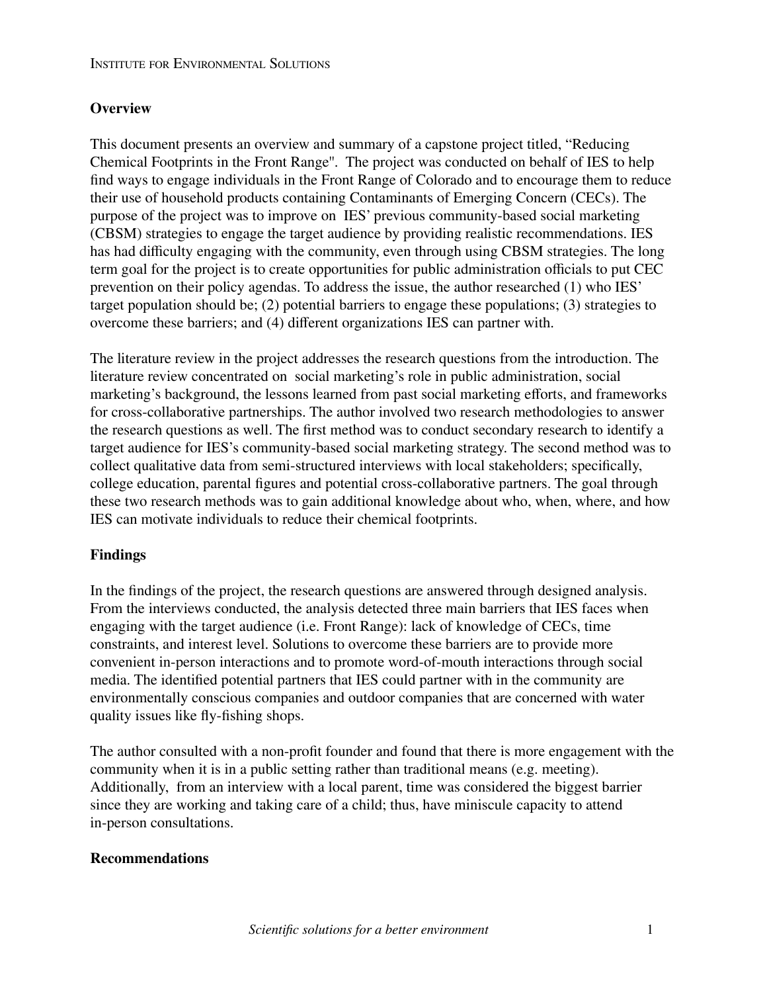## **Overview**

This document presents an overview and summary of a capstone project titled, "Reducing Chemical Footprints in the Front Range''. The project was conducted on behalf of IES to help find ways to engage individuals in the Front Range of Colorado and to encourage them to reduce their use of household products containing Contaminants of Emerging Concern (CECs). The purpose of the project was to improve on IES' previous community-based social marketing (CBSM) strategies to engage the target audience by providing realistic recommendations. IES has had difficulty engaging with the community, even through using CBSM strategies. The long term goal for the project is to create opportunities for public administration officials to put CEC prevention on their policy agendas. To address the issue, the author researched (1) who IES' target population should be; (2) potential barriers to engage these populations; (3) strategies to overcome these barriers; and (4) different organizations IES can partner with.

The literature review in the project addresses the research questions from the introduction. The literature review concentrated on social marketing's role in public administration, social marketing's background, the lessons learned from past social marketing efforts, and frameworks for cross-collaborative partnerships. The author involved two research methodologies to answer the research questions as well. The first method was to conduct secondary research to identify a target audience for IES's community-based social marketing strategy. The second method was to collect qualitative data from semi-structured interviews with local stakeholders; specifically, college education, parental figures and potential cross-collaborative partners. The goal through these two research methods was to gain additional knowledge about who, when, where, and how IES can motivate individuals to reduce their chemical footprints.

## **Findings**

In the findings of the project, the research questions are answered through designed analysis. From the interviews conducted, the analysis detected three main barriers that IES faces when engaging with the target audience (i.e. Front Range): lack of knowledge of CECs, time constraints, and interest level. Solutions to overcome these barriers are to provide more convenient in-person interactions and to promote word-of-mouth interactions through social media. The identified potential partners that IES could partner with in the community are environmentally conscious companies and outdoor companies that are concerned with water quality issues like fly-fishing shops.

The author consulted with a non-profit founder and found that there is more engagement with the community when it is in a public setting rather than traditional means (e.g. meeting). Additionally, from an interview with a local parent, time was considered the biggest barrier since they are working and taking care of a child; thus, have miniscule capacity to attend in-person consultations.

## **Recommendations**